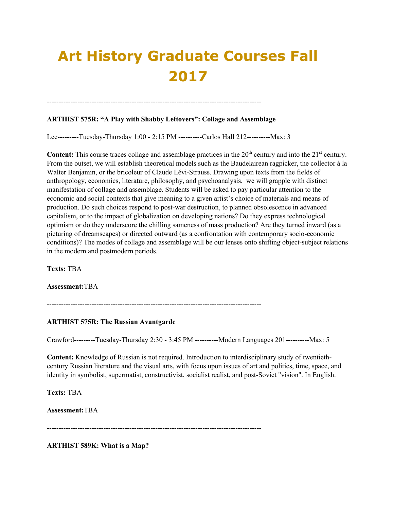# **Art History Graduate Courses Fall 2017**

# **ARTHIST 575R: "A Play with Shabby Leftovers": Collage and Assemblage**

-------------------------------------------------------------------------------------------

Lee---------Tuesday-Thursday 1:00 - 2:15 PM ----------Carlos Hall 212----------Max: 3

**Content:** This course traces collage and assemblage practices in the  $20<sup>th</sup>$  century and into the  $21<sup>st</sup>$  century. From the outset, we will establish theoretical models such as the Baudelairean ragpicker, the collector à la Walter Benjamin, or the bricoleur of Claude Lévi-Strauss. Drawing upon texts from the fields of anthropology, economics, literature, philosophy, and psychoanalysis, we will grapple with distinct manifestation of collage and assemblage. Students will be asked to pay particular attention to the economic and social contexts that give meaning to a given artist's choice of materials and means of production. Do such choices respond to post-war destruction, to planned obsolescence in advanced capitalism, or to the impact of globalization on developing nations? Do they express technological optimism or do they underscore the chilling sameness of mass production? Are they turned inward (as a picturing of dreamscapes) or directed outward (as a confrontation with contemporary socio-economic conditions)? The modes of collage and assemblage will be our lenses onto shifting object-subject relations in the modern and postmodern periods.

**Texts:** TBA

**Assessment:**TBA

-------------------------------------------------------------------------------------------

#### **ARTHIST 575R: The Russian Avantgarde**

Crawford---------Tuesday-Thursday 2:30 - 3:45 PM ----------Modern Languages 201----------Max: 5

**Content:** Knowledge of Russian is not required. Introduction to interdisciplinary study of twentiethcentury Russian literature and the visual arts, with focus upon issues of art and politics, time, space, and identity in symbolist, supermatist, constructivist, socialist realist, and post-Soviet "vision". In English.

**Texts:** TBA

**Assessment:**TBA

-------------------------------------------------------------------------------------------

**ARTHIST 589K: What is a Map?**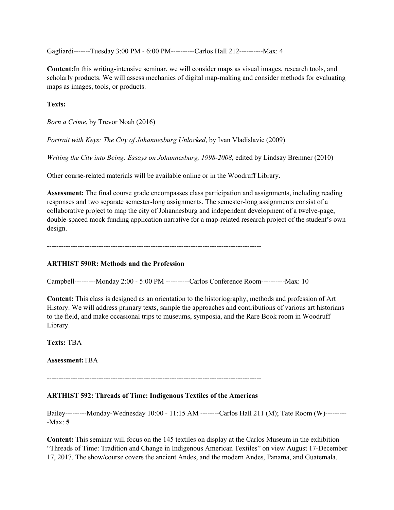Gagliardi-------Tuesday 3:00 PM - 6:00 PM----------Carlos Hall 212----------Max: 4

**Content:**In this writing-intensive seminar, we will consider maps as visual images, research tools, and scholarly products. We will assess mechanics of digital map-making and consider methods for evaluating maps as images, tools, or products.

**Texts:**

*Born a Crime*, by Trevor Noah (2016)

*Portrait with Keys: The City of Johannesburg Unlocked*, by Ivan Vladislavic (2009)

*Writing the City into Being: Essays on Johannesburg, 1998-2008*, edited by Lindsay Bremner (2010)

Other course-related materials will be available online or in the Woodruff Library.

**Assessment:** The final course grade encompasses class participation and assignments, including reading responses and two separate semester-long assignments. The semester-long assignments consist of a collaborative project to map the city of Johannesburg and independent development of a twelve-page, double-spaced mock funding application narrative for a map-related research project of the student's own design.

#### **ARTHIST 590R: Methods and the Profession**

Campbell---------Monday 2:00 - 5:00 PM ----------Carlos Conference Room----------Max: 10

**Content:** This class is designed as an orientation to the historiography, methods and profession of Art History. We will address primary texts, sample the approaches and contributions of various art historians to the field, and make occasional trips to museums, symposia, and the Rare Book room in Woodruff Library.

**Texts:** TBA

**Assessment:**TBA

-------------------------------------------------------------------------------------------

#### **ARTHIST 592: Threads of Time: Indigenous Textiles of the Americas**

Bailey---------Monday-Wednesday 10:00 - 11:15 AM --------Carlos Hall 211 (M); Tate Room (W)--------- -Max: **5**

**Content:** This seminar will focus on the 145 textiles on display at the Carlos Museum in the exhibition "Threads of Time: Tradition and Change in Indigenous American Textiles" on view August 17-December 17, 2017. The show/course covers the ancient Andes, and the modern Andes, Panama, and Guatemala.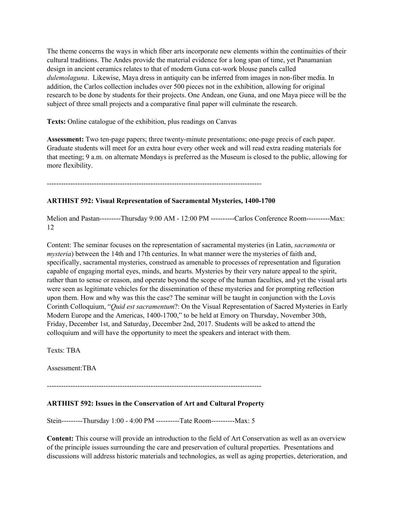The theme concerns the ways in which fiber arts incorporate new elements within the continuities of their cultural traditions. The Andes provide the material evidence for a long span of time, yet Panamanian design in ancient ceramics relates to that of modern Guna cut-work blouse panels called *dulemolaguna*. Likewise, Maya dress in antiquity can be inferred from images in non-fiber media. In addition, the Carlos collection includes over 500 pieces not in the exhibition, allowing for original research to be done by students for their projects. One Andean, one Guna, and one Maya piece will be the subject of three small projects and a comparative final paper will culminate the research.

**Texts:** Online catalogue of the exhibition, plus readings on Canvas

**Assessment:** Two ten-page papers; three twenty-minute presentations; one-page precis of each paper. Graduate students will meet for an extra hour every other week and will read extra reading materials for that meeting; 9 a.m. on alternate Mondays is preferred as the Museum is closed to the public, allowing for more flexibility.

-------------------------------------------------------------------------------------------

#### **ARTHIST 592: Visual Representation of Sacramental Mysteries, 1400-1700**

Melion and Pastan---------Thursday 9:00 AM - 12:00 PM ----------Carlos Conference Room----------Max: 12

Content: The seminar focuses on the representation of sacramental mysteries (in Latin, *sacramenta* or *mysteria*) between the 14th and 17th centuries. In what manner were the mysteries of faith and, specifically, sacramental mysteries, construed as amenable to processes of representation and figuration capable of engaging mortal eyes, minds, and hearts. Mysteries by their very nature appeal to the spirit, rather than to sense or reason, and operate beyond the scope of the human faculties, and yet the visual arts were seen as legitimate vehicles for the dissemination of these mysteries and for prompting reflection upon them. How and why was this the case? The seminar will be taught in conjunction with the Lovis Corinth Colloquium, "*Quid est sacramentum*?: On the Visual Representation of Sacred Mysteries in Early Modern Europe and the Americas, 1400-1700," to be held at Emory on Thursday, November 30th, Friday, December 1st, and Saturday, December 2nd, 2017. Students will be asked to attend the colloquium and will have the opportunity to meet the speakers and interact with them.

Texts: TBA

Assessment:TBA

-------------------------------------------------------------------------------------------

#### **ARTHIST 592: Issues in the Conservation of Art and Cultural Property**

Stein---------Thursday 1:00 - 4:00 PM ----------Tate Room----------Max: 5

**Content:** This course will provide an introduction to the field of Art Conservation as well as an overview of the principle issues surrounding the care and preservation of cultural properties. Presentations and discussions will address historic materials and technologies, as well as aging properties, deterioration, and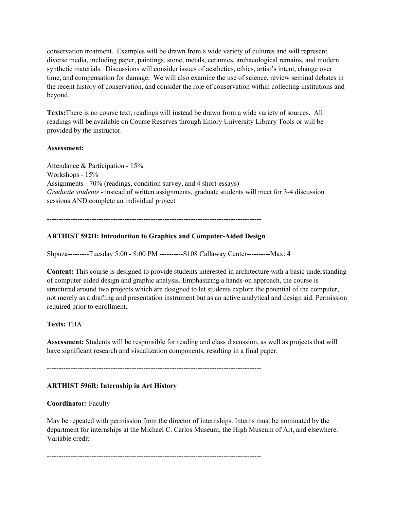conservation treatment. Examples will be drawn from a wide variety of cultures and will represent diverse media, including paper, paintings, stone, metals, ceramics, archaeological remains, and modern synthetic materials. Discussions will consider issues of aesthetics, ethics, artist's intent, change over time, and compensation for damage. We will also examine the use of science, review seminal debates in the recent history of conservation, and consider the role of conservation within collecting institutions and beyond.

**Texts:**There is no course text; readings will instead be drawn from a wide variety of sources. All readings will be available on Course Reserves through Emory University Library Tools or will be provided by the instructor.

#### **Assessment:**

Attendance & Participation - 15% Workshops - 15% Assignments - 70% (readings, condition survey, and 4 short-essays) *Graduate students* - instead of written assignments, graduate students will meet for 3-4 discussion sessions AND complete an individual project

-------------------------------------------------------------------------------------------

# **ARTHIST 592H: Introduction to Graphics and Computer-Aided Design**

Shpuza---------Tuesday 5:00 - 8:00 PM ----------S108 Callaway Center----------Max: 4

**Content:** This course is designed to provide students interested in architecture with a basic understanding of computer-aided design and graphic analysis. Emphasizing a hands-on approach, the course is structured around two projects which are designed to let students explore the potential of the computer, not merely as a drafting and presentation instrument but as an active analytical and design aid. Permission required prior to enrollment.

# **Texts:** TBA

**Assessment:** Students will be responsible for reading and class discussion, as well as projects that will have significant research and visualization components, resulting in a final paper.

-------------------------------------------------------------------------------------------

# **ARTHIST 596R: Internship in Art History**

#### **Coordinator:** Faculty

May be repeated with permission from the director of internships. Interns must be nominated by the department for internships at the Michael C. Carlos Museum, the High Museum of Art, and elsewhere. Variable credit.

-------------------------------------------------------------------------------------------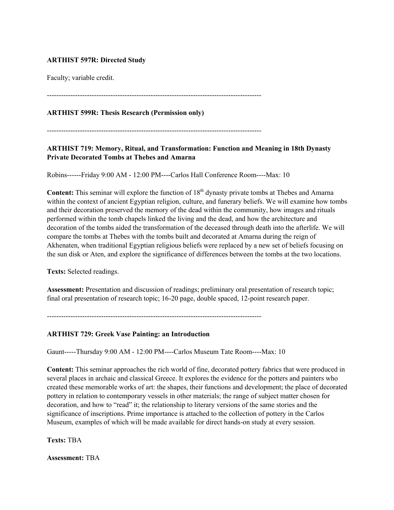# **ARTHIST 597R: Directed Study**

Faculty; variable credit.

-------------------------------------------------------------------------------------------

**ARTHIST 599R: Thesis Research (Permission only)**

-------------------------------------------------------------------------------------------

**ARTHIST 719: Memory, Ritual, and Transformation: Function and Meaning in 18th Dynasty Private Decorated Tombs at Thebes and Amarna**

Robins------Friday 9:00 AM - 12:00 PM----Carlos Hall Conference Room----Max: 10

**Content:** This seminar will explore the function of 18<sup>th</sup> dynasty private tombs at Thebes and Amarna within the context of ancient Egyptian religion, culture, and funerary beliefs. We will examine how tombs and their decoration preserved the memory of the dead within the community, how images and rituals performed within the tomb chapels linked the living and the dead, and how the architecture and decoration of the tombs aided the transformation of the deceased through death into the afterlife. We will compare the tombs at Thebes with the tombs built and decorated at Amarna during the reign of Akhenaten, when traditional Egyptian religious beliefs were replaced by a new set of beliefs focusing on the sun disk or Aten, and explore the significance of differences between the tombs at the two locations.

**Texts:** Selected readings.

**Assessment:** Presentation and discussion of readings; preliminary oral presentation of research topic; final oral presentation of research topic; 16-20 page, double spaced, 12-point research paper.

-------------------------------------------------------------------------------------------

#### **ARTHIST 729: Greek Vase Painting: an Introduction**

Gaunt-----Thursday 9:00 AM - 12:00 PM----Carlos Museum Tate Room----Max: 10

**Content:** This seminar approaches the rich world of fine, decorated pottery fabrics that were produced in several places in archaic and classical Greece. It explores the evidence for the potters and painters who created these memorable works of art: the shapes, their functions and development; the place of decorated pottery in relation to contemporary vessels in other materials; the range of subject matter chosen for decoration, and how to "read" it; the relationship to literary versions of the same stories and the significance of inscriptions. Prime importance is attached to the collection of pottery in the Carlos Museum, examples of which will be made available for direct hands-on study at every session.

**Texts:** TBA

**Assessment:** TBA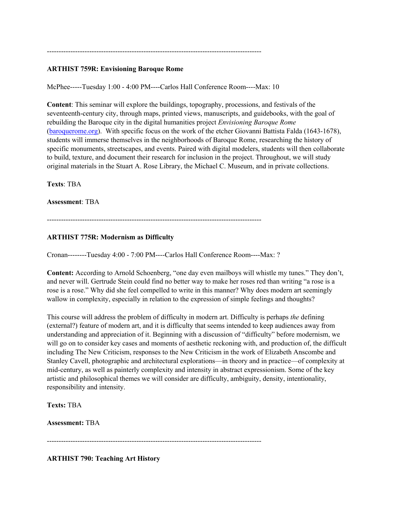#### -------------------------------------------------------------------------------------------

## **ARTHIST 759R: Envisioning Baroque Rome**

McPhee-----Tuesday 1:00 - 4:00 PM----Carlos Hall Conference Room----Max: 10

**Content**: This seminar will explore the buildings, topography, processions, and festivals of the seventeenth-century city, through maps, printed views, manuscripts, and guidebooks, with the goal of rebuilding the Baroque city in the digital humanities project *Envisioning Baroque Rome* (baroquerome.org). With specific focus on the work of the etcher Giovanni Battista Falda (1643-1678), students will immerse themselves in the neighborhoods of Baroque Rome, researching the history of specific monuments, streetscapes, and events. Paired with digital modelers, students will then collaborate to build, texture, and document their research for inclusion in the project. Throughout, we will study original materials in the Stuart A. Rose Library, the Michael C. Museum, and in private collections.

**Texts**: TBA

**Assessment**: TBA

-------------------------------------------------------------------------------------------

# **ARTHIST 775R: Modernism as Difficulty**

Cronan--------Tuesday 4:00 - 7:00 PM----Carlos Hall Conference Room----Max: ?

**Content:** According to Arnold Schoenberg, "one day even mailboys will whistle my tunes." They don't, and never will. Gertrude Stein could find no better way to make her roses red than writing "a rose is a rose is a rose." Why did she feel compelled to write in this manner? Why does modern art seemingly wallow in complexity, especially in relation to the expression of simple feelings and thoughts?

This course will address the problem of difficulty in modern art. Difficulty is perhaps *the* defining (external?) feature of modern art, and it is difficulty that seems intended to keep audiences away from understanding and appreciation of it. Beginning with a discussion of "difficulty" before modernism, we will go on to consider key cases and moments of aesthetic reckoning with, and production of, the difficult including The New Criticism, responses to the New Criticism in the work of Elizabeth Anscombe and Stanley Cavell, photographic and architectural explorations—in theory and in practice—of complexity at mid-century, as well as painterly complexity and intensity in abstract expressionism. Some of the key artistic and philosophical themes we will consider are difficulty, ambiguity, density, intentionality, responsibility and intensity.

**Texts:** TBA

**Assessment:** TBA

-------------------------------------------------------------------------------------------

**ARTHIST 790: Teaching Art History**